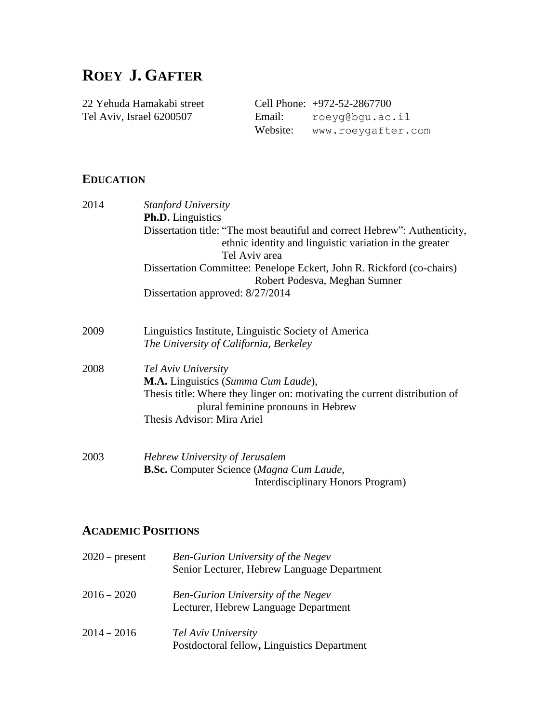# **ROEY J. GAFTER**

22 Yehuda Hamakabi street Cell Phone: +972-52-2867700 Tel Aviv, Israel 6200507 Email: roeyg@bgu.ac.il Website: www.roeygafter.com

# **EDUCATION**

| 2014 | <b>Stanford University</b><br><b>Ph.D.</b> Linguistics                                                           |  |  |
|------|------------------------------------------------------------------------------------------------------------------|--|--|
|      |                                                                                                                  |  |  |
|      | Dissertation title: "The most beautiful and correct Hebrew": Authenticity,                                       |  |  |
|      | ethnic identity and linguistic variation in the greater                                                          |  |  |
|      | Tel Aviv area                                                                                                    |  |  |
|      | Dissertation Committee: Penelope Eckert, John R. Rickford (co-chairs)                                            |  |  |
|      | Robert Podesva, Meghan Sumner                                                                                    |  |  |
|      | Dissertation approved: 8/27/2014                                                                                 |  |  |
| 2009 | Linguistics Institute, Linguistic Society of America                                                             |  |  |
|      | The University of California, Berkeley                                                                           |  |  |
| 2008 | Tel Aviv University                                                                                              |  |  |
|      | <b>M.A.</b> Linguistics (Summa Cum Laude),                                                                       |  |  |
|      | Thesis title: Where they linger on: motivating the current distribution of<br>plural feminine pronouns in Hebrew |  |  |
|      | Thesis Advisor: Mira Ariel                                                                                       |  |  |
| 2003 | Hebrew University of Jerusalem                                                                                   |  |  |
|      | <b>B.Sc.</b> Computer Science (Magna Cum Laude,                                                                  |  |  |
|      | Interdisciplinary Honors Program)                                                                                |  |  |

# **ACADEMIC POSITIONS**

| $2020$ – present | <b>Ben-Gurion University of the Negev</b><br>Senior Lecturer, Hebrew Language Department |
|------------------|------------------------------------------------------------------------------------------|
| $2016 - 2020$    | <b>Ben-Gurion University of the Negev</b><br>Lecturer, Hebrew Language Department        |
| $2014 - 2016$    | Tel Aviv University<br>Postdoctoral fellow, Linguistics Department                       |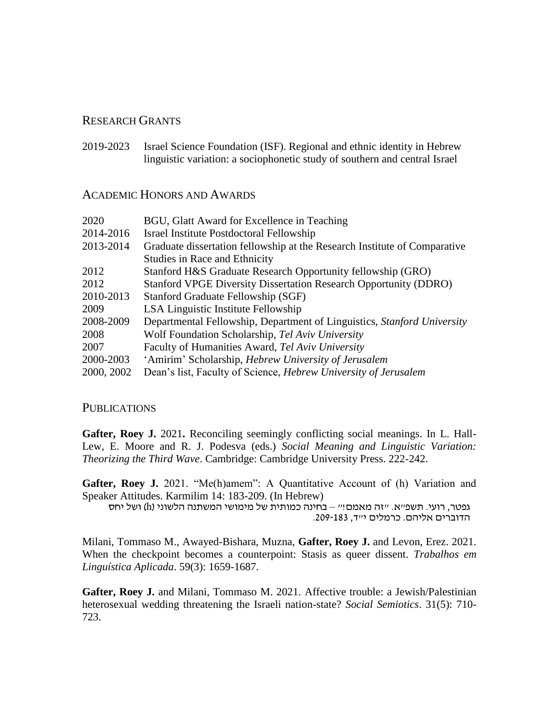### RESEARCH GRANTS

2019-2023 Israel Science Foundation (ISF). Regional and ethnic identity in Hebrew linguistic variation: a sociophonetic study of southern and central Israel

### ACADEMIC HONORS AND AWARDS

| BGU, Glatt Award for Excellence in Teaching                                            |  |
|----------------------------------------------------------------------------------------|--|
| Israel Institute Postdoctoral Fellowship                                               |  |
| 2013-2014<br>Graduate dissertation fellowship at the Research Institute of Comparative |  |
| Studies in Race and Ethnicity                                                          |  |
| Stanford H&S Graduate Research Opportunity fellowship (GRO)                            |  |
| <b>Stanford VPGE Diversity Dissertation Research Opportunity (DDRO)</b>                |  |
| Stanford Graduate Fellowship (SGF)                                                     |  |
| LSA Linguistic Institute Fellowship                                                    |  |
| Departmental Fellowship, Department of Linguistics, Stanford University                |  |
| Wolf Foundation Scholarship, Tel Aviv University                                       |  |
| Faculty of Humanities Award, Tel Aviv University                                       |  |
| 'Amirim' Scholarship, Hebrew University of Jerusalem                                   |  |
| Dean's list, Faculty of Science, Hebrew University of Jerusalem                        |  |
|                                                                                        |  |

### PUBLICATIONS

**Gafter, Roey J.** 2021**.** Reconciling seemingly conflicting social meanings. In L. Hall-Lew, E. Moore and R. J. Podesva (eds.) *Social Meaning and Linguistic Variation: Theorizing the Third Wave*. Cambridge: Cambridge University Press. 222-242.

**Gafter, Roey J.** 2021. "Me(h)amem": A Quantitative Account of (h) Variation and Speaker Attitudes. Karmilim 14: 183-209. (In Hebrew)

גפטר, רועי. תשפ״א. ״זה מאמם!״ – בחינה כמותית של מימושי המשתנה הלשוני (h) ושל יחס הדוברים אליהם. כרמלים י"ד, .209-183

Milani, Tommaso M., Awayed-Bishara, Muzna, **Gafter, Roey J.** and Levon, Erez. 2021. When the checkpoint becomes a counterpoint: Stasis as queer dissent. *Trabalhos em Linguística Aplicada*. 59(3): 1659-1687.

**Gafter, Roey J.** and Milani, Tommaso M. 2021. Affective trouble: a Jewish/Palestinian heterosexual wedding threatening the Israeli nation-state? *Social Semiotics*. 31(5): 710- 723.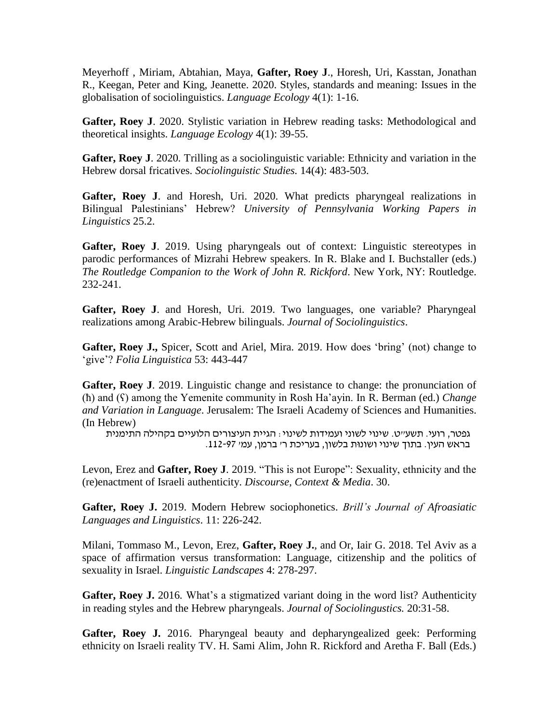Meyerhoff , Miriam, Abtahian, Maya, **Gafter, Roey J**., Horesh, Uri, Kasstan, Jonathan R., Keegan, Peter and King, Jeanette. 2020. Styles, standards and meaning: Issues in the globalisation of sociolinguistics. *Language Ecology* 4(1): 1-16.

**Gafter, Roey J**. 2020. Stylistic variation in Hebrew reading tasks: Methodological and theoretical insights. *Language Ecology* 4(1): 39-55.

**Gafter, Roey J**. 2020*.* Trilling as a sociolinguistic variable: Ethnicity and variation in the Hebrew dorsal fricatives. *Sociolinguistic Studies.* 14(4): 483-503.

**Gafter, Roey J**. and Horesh, Uri. 2020. What predicts pharyngeal realizations in Bilingual Palestinians' Hebrew? *University of Pennsylvania Working Papers in Linguistics* 25.2.

**Gafter, Roey J**. 2019. Using pharyngeals out of context: Linguistic stereotypes in parodic performances of Mizrahi Hebrew speakers. In R. Blake and I. Buchstaller (eds.) *The Routledge Companion to the Work of John R. Rickford*. New York, NY: Routledge. 232-241.

**Gafter, Roey J**. and Horesh, Uri. 2019. Two languages, one variable? Pharyngeal realizations among Arabic-Hebrew bilinguals. *Journal of Sociolinguistics*.

**Gafter, Roey J.,** Spicer, Scott and Ariel, Mira. 2019. How does 'bring' (not) change to 'give'? *Folia Linguistica* 53: 443-447

**Gafter, Roey J**. 2019. Linguistic change and resistance to change: the pronunciation of (ħ) and (ʕ) among the Yemenite community in Rosh Ha'ayin. In R. Berman (ed.) *Change and Variation in Language*. Jerusalem: The Israeli Academy of Sciences and Humanities. (In Hebrew)

גפטר, רועי. תשע"ט. שינוי לשוני ועמידות לשינוי: הגיית העיצורים הלועיים בקהילה התימנית בראש העין. בתוך שינוי ושונּות בלשון, בעריכת ר' ברמן, עמ' .112-97

Levon, Erez and **Gafter, Roey J**. 2019. "This is not Europe": Sexuality, ethnicity and the (re)enactment of Israeli authenticity. *Discourse, Context & Media*. 30.

**Gafter, Roey J.** 2019. Modern Hebrew sociophonetics. *Brill's Journal of Afroasiatic Languages and Linguistics*. 11: 226-242.

Milani, Tommaso M., Levon, Erez, **Gafter, Roey J.**, and Or, Iair G. 2018. Tel Aviv as a space of affirmation versus transformation: Language, citizenship and the politics of sexuality in Israel. *Linguistic Landscapes* 4: 278-297.

**Gafter, Roey J.** 2016*.* What's a stigmatized variant doing in the word list? Authenticity in reading styles and the Hebrew pharyngeals. *Journal of Sociolingustics.* 20:31-58.

**Gafter, Roey J.** 2016. Pharyngeal beauty and depharyngealized geek: Performing ethnicity on Israeli reality TV. H. Sami Alim, John R. Rickford and Aretha F. Ball (Eds.)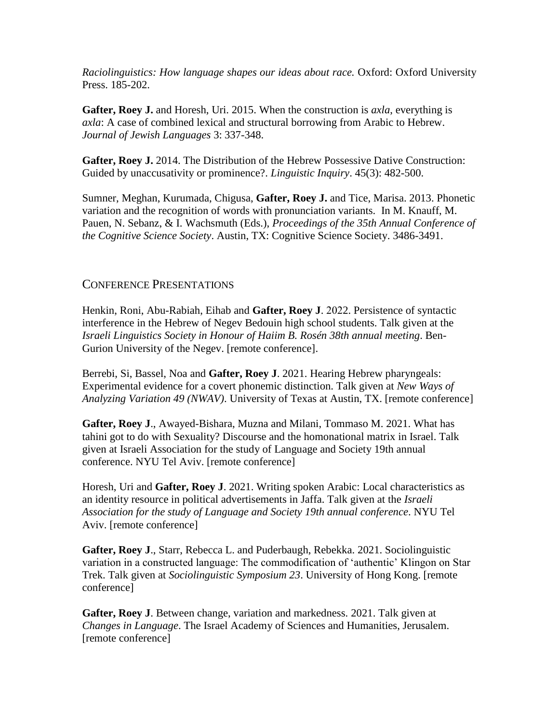*Raciolinguistics: How language shapes our ideas about race.* Oxford: Oxford University Press. 185-202.

**Gafter, Roey J.** and Horesh, Uri. 2015. When the construction is *axla*, everything is *axla*: A case of combined lexical and structural borrowing from Arabic to Hebrew. *Journal of Jewish Languages* 3: 337-348.

**Gafter, Roey J.** 2014. The Distribution of the Hebrew Possessive Dative Construction: Guided by unaccusativity or prominence?. *Linguistic Inquiry*. 45(3): 482-500.

Sumner, Meghan, Kurumada, Chigusa, **Gafter, Roey J.** and Tice, Marisa. 2013. Phonetic variation and the recognition of words with pronunciation variants. In M. Knauff, M. Pauen, N. Sebanz, & I. Wachsmuth (Eds.), *Proceedings of the 35th Annual Conference of the Cognitive Science Society*. Austin, TX: Cognitive Science Society. 3486-3491.

#### CONFERENCE PRESENTATIONS

Henkin, Roni, Abu-Rabiah, Eihab and **Gafter, Roey J**. 2022. Persistence of syntactic interference in the Hebrew of Negev Bedouin high school students. Talk given at the *Israeli Linguistics Society in Honour of Haiim B. Rosén 38th annual meeting*. Ben-Gurion University of the Negev. [remote conference].

Berrebi, Si, Bassel, Noa and **Gafter, Roey J**. 2021. Hearing Hebrew pharyngeals: Experimental evidence for a covert phonemic distinction. Talk given at *New Ways of Analyzing Variation 49 (NWAV)*. University of Texas at Austin, TX. [remote conference]

**Gafter, Roey J**., Awayed-Bishara, Muzna and Milani, Tommaso M. 2021. What has tahini got to do with Sexuality? Discourse and the homonational matrix in Israel. Talk given at Israeli Association for the study of Language and Society 19th annual conference. NYU Tel Aviv. [remote conference]

Horesh, Uri and **Gafter, Roey J**. 2021. Writing spoken Arabic: Local characteristics as an identity resource in political advertisements in Jaffa. Talk given at the *Israeli Association for the study of Language and Society 19th annual conference*. NYU Tel Aviv. [remote conference]

**Gafter, Roey J**., Starr, Rebecca L. and Puderbaugh, Rebekka. 2021. Sociolinguistic variation in a constructed language: The commodification of 'authentic' Klingon on Star Trek. Talk given at *Sociolinguistic Symposium 23*. University of Hong Kong. [remote conference]

**Gafter, Roey J**. Between change, variation and markedness. 2021. Talk given at *Changes in Language*. The Israel Academy of Sciences and Humanities, Jerusalem. [remote conference]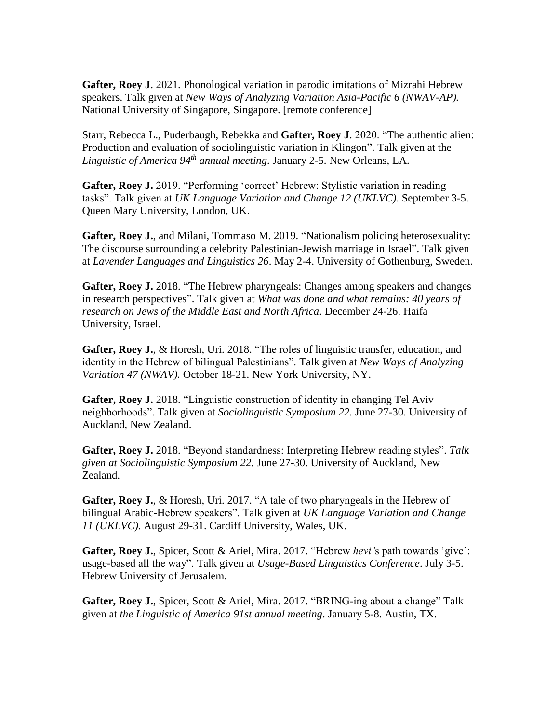**Gafter, Roey J**. 2021. Phonological variation in parodic imitations of Mizrahi Hebrew speakers. Talk given at *New Ways of Analyzing Variation Asia-Pacific 6 (NWAV-AP).* National University of Singapore, Singapore. [remote conference]

Starr, Rebecca L., Puderbaugh, Rebekka and **Gafter, Roey J**. 2020. "The authentic alien: Production and evaluation of sociolinguistic variation in Klingon". Talk given at the *Linguistic of America 94th annual meeting*. January 2-5. New Orleans, LA.

**Gafter, Roey J.** 2019. "Performing 'correct' Hebrew: Stylistic variation in reading tasks". Talk given at *UK Language Variation and Change 12 (UKLVC)*. September 3-5. Queen Mary University, London, UK.

**Gafter, Roey J.**, and Milani, Tommaso M. 2019. "Nationalism policing heterosexuality: The discourse surrounding a celebrity Palestinian-Jewish marriage in Israel". Talk given at *Lavender Languages and Linguistics 26*. May 2-4. University of Gothenburg, Sweden.

Gafter, Roey J. 2018. "The Hebrew pharyngeals: Changes among speakers and changes in research perspectives". Talk given at *What was done and what remains: 40 years of research on Jews of the Middle East and North Africa*. December 24-26. Haifa University, Israel.

**Gafter, Roey J.**, & Horesh, Uri. 2018. "The roles of linguistic transfer, education, and identity in the Hebrew of bilingual Palestinians". Talk given at *New Ways of Analyzing Variation 47 (NWAV).* October 18-21. New York University, NY.

**Gafter, Roey J.** 2018. "Linguistic construction of identity in changing Tel Aviv neighborhoods". Talk given at *Sociolinguistic Symposium 22.* June 27-30. University of Auckland, New Zealand.

**Gafter, Roey J.** 2018. "Beyond standardness: Interpreting Hebrew reading styles". *Talk given at Sociolinguistic Symposium 22.* June 27-30. University of Auckland, New Zealand.

**Gafter, Roey J.**, & Horesh, Uri. 2017. "A tale of two pharyngeals in the Hebrew of bilingual Arabic-Hebrew speakers". Talk given at *UK Language Variation and Change 11 (UKLVC).* August 29-31. Cardiff University, Wales, UK.

**Gafter, Roey J.**, Spicer, Scott & Ariel, Mira. 2017. "Hebrew *hevi'*s path towards 'give': usage-based all the way". Talk given at *Usage-Based Linguistics Conference*. July 3-5. Hebrew University of Jerusalem.

**Gafter, Roey J.**, Spicer, Scott & Ariel, Mira. 2017. "BRING-ing about a change" Talk given at *the Linguistic of America 91st annual meeting*. January 5-8. Austin, TX.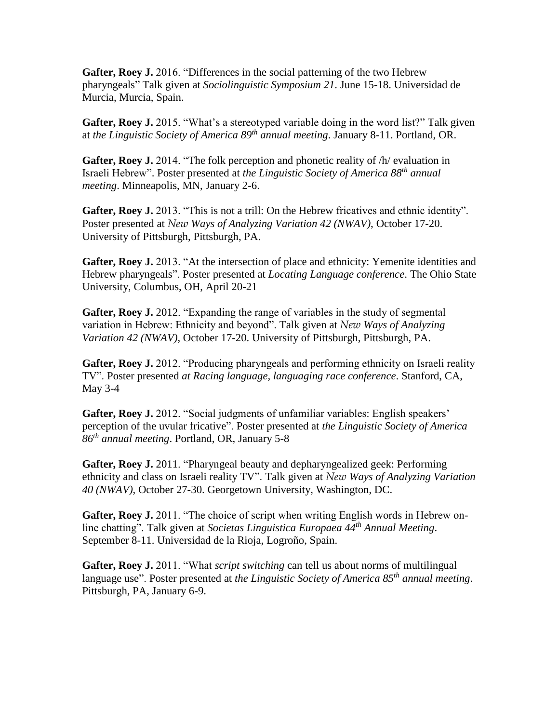**Gafter, Roey J.** 2016. "Differences in the social patterning of the two Hebrew pharyngeals" Talk given at *Sociolinguistic Symposium 21*. June 15-18. Universidad de Murcia, Murcia, Spain.

**Gafter, Roey J.** 2015. "What's a stereotyped variable doing in the word list?" Talk given at *the Linguistic Society of America 89th annual meeting*. January 8-11. Portland, OR.

**Gafter, Roey J.** 2014. "The folk perception and phonetic reality of /h/ evaluation in Israeli Hebrew". Poster presented at *the Linguistic Society of America 88th annual meeting*. Minneapolis, MN, January 2-6.

**Gafter, Roey J.** 2013. "This is not a trill: On the Hebrew fricatives and ethnic identity". Poster presented at *New Ways of Analyzing Variation 42 (NWAV)*, October 17-20. University of Pittsburgh, Pittsburgh, PA.

**Gafter, Roey J.** 2013. "At the intersection of place and ethnicity: Yemenite identities and Hebrew pharyngeals". Poster presented at *Locating Language conference*. The Ohio State University, Columbus, OH, April 20-21

**Gafter, Roey J.** 2012. "Expanding the range of variables in the study of segmental variation in Hebrew: Ethnicity and beyond". Talk given at *New Ways of Analyzing Variation 42 (NWAV)*, October 17-20. University of Pittsburgh, Pittsburgh, PA.

**Gafter, Roey J.** 2012. "Producing pharyngeals and performing ethnicity on Israeli reality TV". Poster presented *at Racing language, languaging race conference*. Stanford, CA, May 3-4

**Gafter, Roey J.** 2012. "Social judgments of unfamiliar variables: English speakers' perception of the uvular fricative". Poster presented at *the Linguistic Society of America 86th annual meeting*. Portland, OR, January 5-8

**Gafter, Roey J.** 2011. "Pharyngeal beauty and depharyngealized geek: Performing ethnicity and class on Israeli reality TV". Talk given at *New Ways of Analyzing Variation 40 (NWAV)*, October 27-30. Georgetown University, Washington, DC.

**Gafter, Roey J.** 2011. "The choice of script when writing English words in Hebrew online chatting". Talk given at *Societas Linguistica Europaea 44th Annual Meeting*. September 8-11. Universidad de la Rioja, Logroño, Spain.

**Gafter, Roey J.** 2011. "What *script switching* can tell us about norms of multilingual language use". Poster presented at *the Linguistic Society of America 85th annual meeting*. Pittsburgh, PA, January 6-9.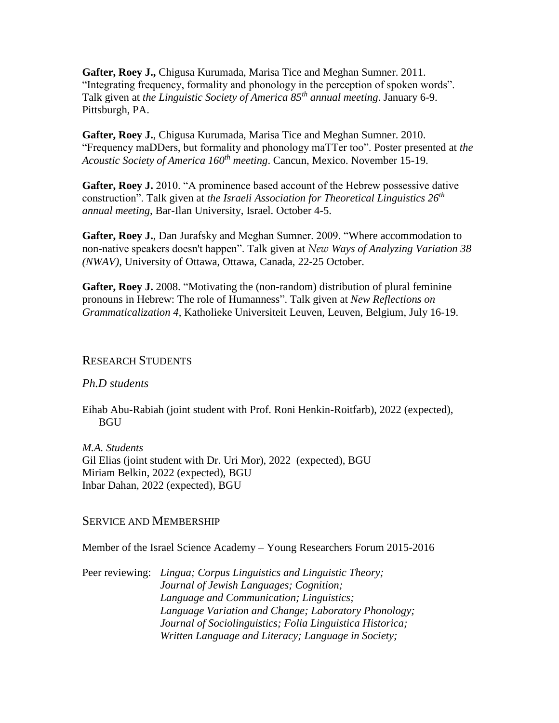**Gafter, Roey J.,** Chigusa Kurumada, Marisa Tice and Meghan Sumner. 2011. "Integrating frequency, formality and phonology in the perception of spoken words". Talk given at *the Linguistic Society of America 85th annual meeting*. January 6-9. Pittsburgh, PA.

**Gafter, Roey J.**, Chigusa Kurumada, Marisa Tice and Meghan Sumner. 2010. "Frequency maDDers, but formality and phonology maTTer too". Poster presented at *the Acoustic Society of America 160th meeting*. Cancun, Mexico. November 15-19.

**Gafter, Roey J.** 2010. "A prominence based account of the Hebrew possessive dative construction". Talk given at *the Israeli Association for Theoretical Linguistics 26th annual meeting*, Bar-Ilan University, Israel. October 4-5.

**Gafter, Roey J.**, Dan Jurafsky and Meghan Sumner. 2009. "Where accommodation to non-native speakers doesn't happen". Talk given at *New Ways of Analyzing Variation 38 (NWAV)*, University of Ottawa, Ottawa, Canada, 22-25 October.

**Gafter, Roey J.** 2008. "Motivating the (non-random) distribution of plural feminine pronouns in Hebrew: The role of Humanness". Talk given at *New Reflections on Grammaticalization 4*, Katholieke Universiteit Leuven, Leuven, Belgium, July 16-19.

#### RESEARCH STUDENTS

#### *Ph.D students*

Eihab Abu-Rabiah (joint student with Prof. Roni Henkin-Roitfarb), 2022 (expected), **BGU** 

*M.A. Students* Gil Elias (joint student with Dr. Uri Mor), 2022 (expected), BGU Miriam Belkin, 2022 (expected), BGU Inbar Dahan, 2022 (expected), BGU

#### SERVICE AND MEMBERSHIP

Member of the Israel Science Academy – Young Researchers Forum 2015-2016

Peer reviewing: *Lingua; Corpus Linguistics and Linguistic Theory; Journal of Jewish Languages; Cognition; Language and Communication; Linguistics; Language Variation and Change; Laboratory Phonology; Journal of Sociolinguistics; Folia Linguistica Historica; Written Language and Literacy; Language in Society;*